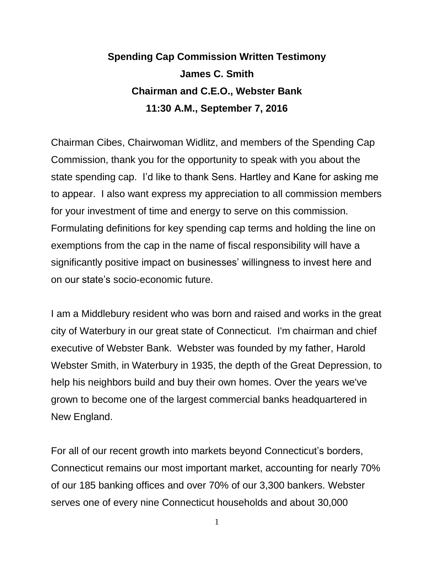## **Spending Cap Commission Written Testimony James C. Smith Chairman and C.E.O., Webster Bank 11:30 A.M., September 7, 2016**

Chairman Cibes, Chairwoman Widlitz, and members of the Spending Cap Commission, thank you for the opportunity to speak with you about the state spending cap. I'd like to thank Sens. Hartley and Kane for asking me to appear. I also want express my appreciation to all commission members for your investment of time and energy to serve on this commission. Formulating definitions for key spending cap terms and holding the line on exemptions from the cap in the name of fiscal responsibility will have a significantly positive impact on businesses' willingness to invest here and on our state's socio-economic future.

I am a Middlebury resident who was born and raised and works in the great city of Waterbury in our great state of Connecticut. I'm chairman and chief executive of Webster Bank. Webster was founded by my father, Harold Webster Smith, in Waterbury in 1935, the depth of the Great Depression, to help his neighbors build and buy their own homes. Over the years we've grown to become one of the largest commercial banks headquartered in New England.

For all of our recent growth into markets beyond Connecticut's borders, Connecticut remains our most important market, accounting for nearly 70% of our 185 banking offices and over 70% of our 3,300 bankers. Webster serves one of every nine Connecticut households and about 30,000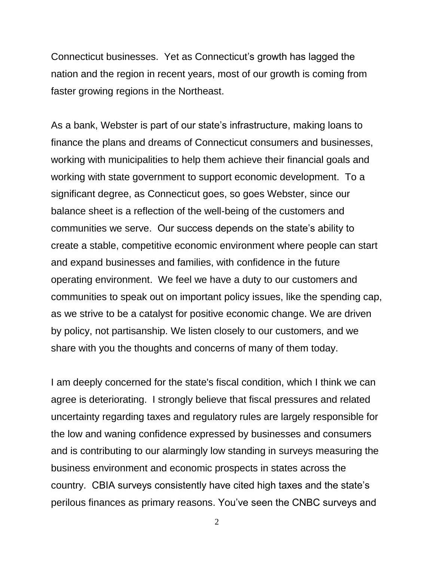Connecticut businesses. Yet as Connecticut's growth has lagged the nation and the region in recent years, most of our growth is coming from faster growing regions in the Northeast.

As a bank, Webster is part of our state's infrastructure, making loans to finance the plans and dreams of Connecticut consumers and businesses, working with municipalities to help them achieve their financial goals and working with state government to support economic development. To a significant degree, as Connecticut goes, so goes Webster, since our balance sheet is a reflection of the well-being of the customers and communities we serve. Our success depends on the state's ability to create a stable, competitive economic environment where people can start and expand businesses and families, with confidence in the future operating environment. We feel we have a duty to our customers and communities to speak out on important policy issues, like the spending cap, as we strive to be a catalyst for positive economic change. We are driven by policy, not partisanship. We listen closely to our customers, and we share with you the thoughts and concerns of many of them today.

I am deeply concerned for the state's fiscal condition, which I think we can agree is deteriorating. I strongly believe that fiscal pressures and related uncertainty regarding taxes and regulatory rules are largely responsible for the low and waning confidence expressed by businesses and consumers and is contributing to our alarmingly low standing in surveys measuring the business environment and economic prospects in states across the country. CBIA surveys consistently have cited high taxes and the state's perilous finances as primary reasons. You've seen the CNBC surveys and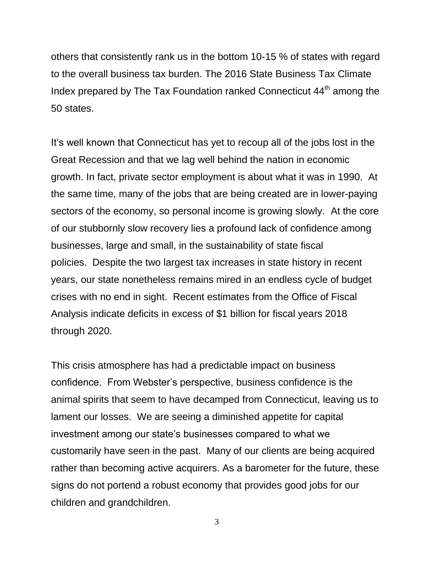others that consistently rank us in the bottom 10-15 % of states with regard to the overall business tax burden. The 2016 State Business Tax Climate Index prepared by The Tax Foundation ranked Connecticut 44<sup>th</sup> among the 50 states.

It's well known that Connecticut has yet to recoup all of the jobs lost in the Great Recession and that we lag well behind the nation in economic growth. In fact, private sector employment is about what it was in 1990. At the same time, many of the jobs that are being created are in lower-paying sectors of the economy, so personal income is growing slowly. At the core of our stubbornly slow recovery lies a profound lack of confidence among businesses, large and small, in the sustainability of state fiscal policies. Despite the two largest tax increases in state history in recent years, our state nonetheless remains mired in an endless cycle of budget crises with no end in sight. Recent estimates from the Office of Fiscal Analysis indicate deficits in excess of \$1 billion for fiscal years 2018 through 2020.

This crisis atmosphere has had a predictable impact on business confidence. From Webster's perspective, business confidence is the animal spirits that seem to have decamped from Connecticut, leaving us to lament our losses. We are seeing a diminished appetite for capital investment among our state's businesses compared to what we customarily have seen in the past. Many of our clients are being acquired rather than becoming active acquirers. As a barometer for the future, these signs do not portend a robust economy that provides good jobs for our children and grandchildren.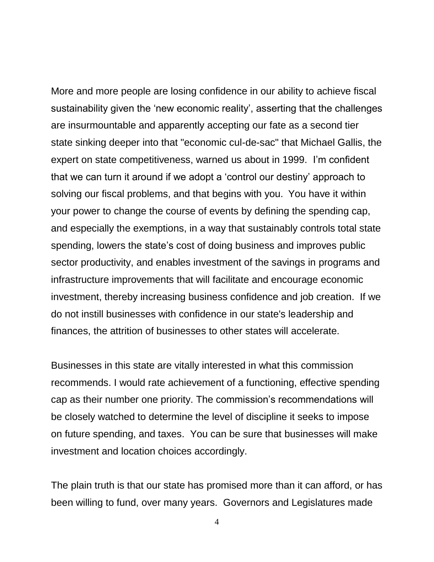More and more people are losing confidence in our ability to achieve fiscal sustainability given the 'new economic reality', asserting that the challenges are insurmountable and apparently accepting our fate as a second tier state sinking deeper into that "economic cul-de-sac" that Michael Gallis, the expert on state competitiveness, warned us about in 1999. I'm confident that we can turn it around if we adopt a 'control our destiny' approach to solving our fiscal problems, and that begins with you. You have it within your power to change the course of events by defining the spending cap, and especially the exemptions, in a way that sustainably controls total state spending, lowers the state's cost of doing business and improves public sector productivity, and enables investment of the savings in programs and infrastructure improvements that will facilitate and encourage economic investment, thereby increasing business confidence and job creation. If we do not instill businesses with confidence in our state's leadership and finances, the attrition of businesses to other states will accelerate.

Businesses in this state are vitally interested in what this commission recommends. I would rate achievement of a functioning, effective spending cap as their number one priority. The commission's recommendations will be closely watched to determine the level of discipline it seeks to impose on future spending, and taxes. You can be sure that businesses will make investment and location choices accordingly.

The plain truth is that our state has promised more than it can afford, or has been willing to fund, over many years. Governors and Legislatures made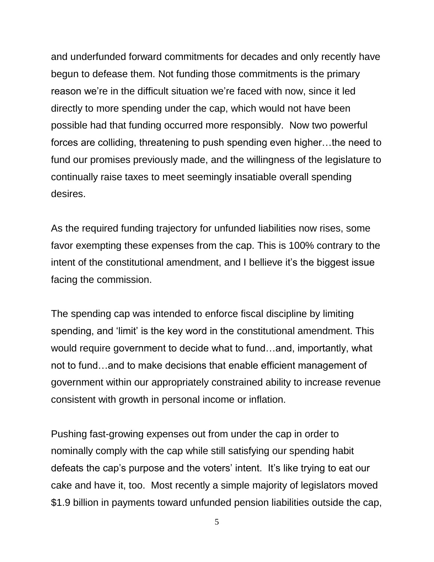and underfunded forward commitments for decades and only recently have begun to defease them. Not funding those commitments is the primary reason we're in the difficult situation we're faced with now, since it led directly to more spending under the cap, which would not have been possible had that funding occurred more responsibly. Now two powerful forces are colliding, threatening to push spending even higher…the need to fund our promises previously made, and the willingness of the legislature to continually raise taxes to meet seemingly insatiable overall spending desires.

As the required funding trajectory for unfunded liabilities now rises, some favor exempting these expenses from the cap. This is 100% contrary to the intent of the constitutional amendment, and I bellieve it's the biggest issue facing the commission.

The spending cap was intended to enforce fiscal discipline by limiting spending, and 'limit' is the key word in the constitutional amendment. This would require government to decide what to fund…and, importantly, what not to fund…and to make decisions that enable efficient management of government within our appropriately constrained ability to increase revenue consistent with growth in personal income or inflation.

Pushing fast-growing expenses out from under the cap in order to nominally comply with the cap while still satisfying our spending habit defeats the cap's purpose and the voters' intent. It's like trying to eat our cake and have it, too. Most recently a simple majority of legislators moved \$1.9 billion in payments toward unfunded pension liabilities outside the cap,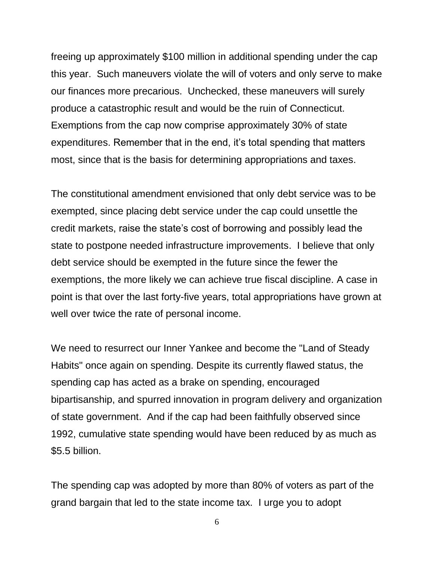freeing up approximately \$100 million in additional spending under the cap this year. Such maneuvers violate the will of voters and only serve to make our finances more precarious. Unchecked, these maneuvers will surely produce a catastrophic result and would be the ruin of Connecticut. Exemptions from the cap now comprise approximately 30% of state expenditures. Remember that in the end, it's total spending that matters most, since that is the basis for determining appropriations and taxes.

The constitutional amendment envisioned that only debt service was to be exempted, since placing debt service under the cap could unsettle the credit markets, raise the state's cost of borrowing and possibly lead the state to postpone needed infrastructure improvements. I believe that only debt service should be exempted in the future since the fewer the exemptions, the more likely we can achieve true fiscal discipline. A case in point is that over the last forty-five years, total appropriations have grown at well over twice the rate of personal income.

We need to resurrect our Inner Yankee and become the "Land of Steady Habits" once again on spending. Despite its currently flawed status, the spending cap has acted as a brake on spending, encouraged bipartisanship, and spurred innovation in program delivery and organization of state government. And if the cap had been faithfully observed since 1992, cumulative state spending would have been reduced by as much as \$5.5 billion.

The spending cap was adopted by more than 80% of voters as part of the grand bargain that led to the state income tax. I urge you to adopt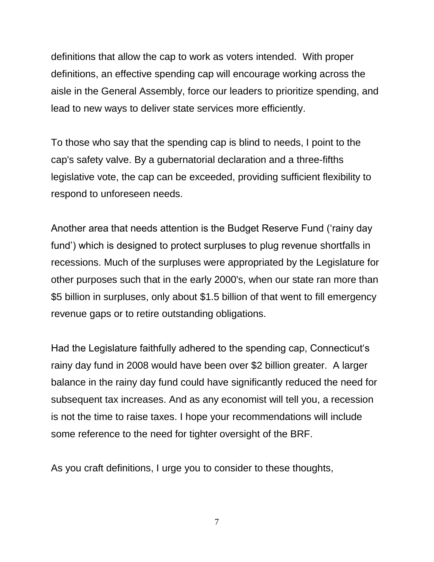definitions that allow the cap to work as voters intended. With proper definitions, an effective spending cap will encourage working across the aisle in the General Assembly, force our leaders to prioritize spending, and lead to new ways to deliver state services more efficiently.

To those who say that the spending cap is blind to needs, I point to the cap's safety valve. By a gubernatorial declaration and a three-fifths legislative vote, the cap can be exceeded, providing sufficient flexibility to respond to unforeseen needs.

Another area that needs attention is the Budget Reserve Fund ('rainy day fund') which is designed to protect surpluses to plug revenue shortfalls in recessions. Much of the surpluses were appropriated by the Legislature for other purposes such that in the early 2000's, when our state ran more than \$5 billion in surpluses, only about \$1.5 billion of that went to fill emergency revenue gaps or to retire outstanding obligations.

Had the Legislature faithfully adhered to the spending cap, Connecticut's rainy day fund in 2008 would have been over \$2 billion greater. A larger balance in the rainy day fund could have significantly reduced the need for subsequent tax increases. And as any economist will tell you, a recession is not the time to raise taxes. I hope your recommendations will include some reference to the need for tighter oversight of the BRF.

As you craft definitions, I urge you to consider to these thoughts,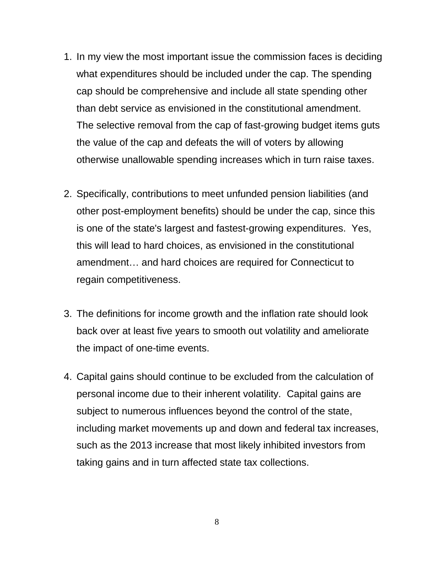- 1. In my view the most important issue the commission faces is deciding what expenditures should be included under the cap. The spending cap should be comprehensive and include all state spending other than debt service as envisioned in the constitutional amendment. The selective removal from the cap of fast-growing budget items guts the value of the cap and defeats the will of voters by allowing otherwise unallowable spending increases which in turn raise taxes.
- 2. Specifically, contributions to meet unfunded pension liabilities (and other post-employment benefits) should be under the cap, since this is one of the state's largest and fastest-growing expenditures. Yes, this will lead to hard choices, as envisioned in the constitutional amendment… and hard choices are required for Connecticut to regain competitiveness.
- 3. The definitions for income growth and the inflation rate should look back over at least five years to smooth out volatility and ameliorate the impact of one-time events.
- 4. Capital gains should continue to be excluded from the calculation of personal income due to their inherent volatility. Capital gains are subject to numerous influences beyond the control of the state, including market movements up and down and federal tax increases, such as the 2013 increase that most likely inhibited investors from taking gains and in turn affected state tax collections.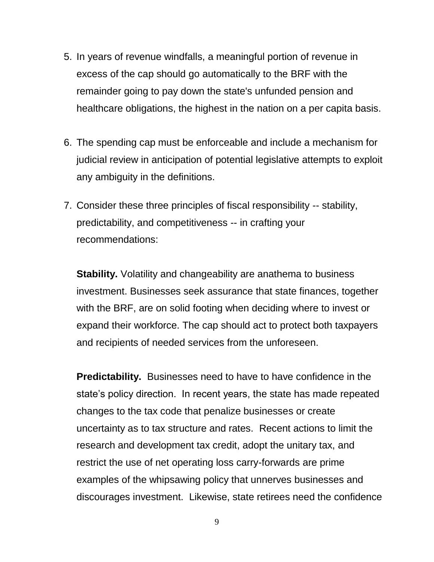- 5. In years of revenue windfalls, a meaningful portion of revenue in excess of the cap should go automatically to the BRF with the remainder going to pay down the state's unfunded pension and healthcare obligations, the highest in the nation on a per capita basis.
- 6. The spending cap must be enforceable and include a mechanism for judicial review in anticipation of potential legislative attempts to exploit any ambiguity in the definitions.
- 7. Consider these three principles of fiscal responsibility -- stability, predictability, and competitiveness -- in crafting your recommendations:

**Stability.** Volatility and changeability are anathema to business investment. Businesses seek assurance that state finances, together with the BRF, are on solid footing when deciding where to invest or expand their workforce. The cap should act to protect both taxpayers and recipients of needed services from the unforeseen.

**Predictability.** Businesses need to have to have confidence in the state's policy direction. In recent years, the state has made repeated changes to the tax code that penalize businesses or create uncertainty as to tax structure and rates. Recent actions to limit the research and development tax credit, adopt the unitary tax, and restrict the use of net operating loss carry-forwards are prime examples of the whipsawing policy that unnerves businesses and discourages investment. Likewise, state retirees need the confidence